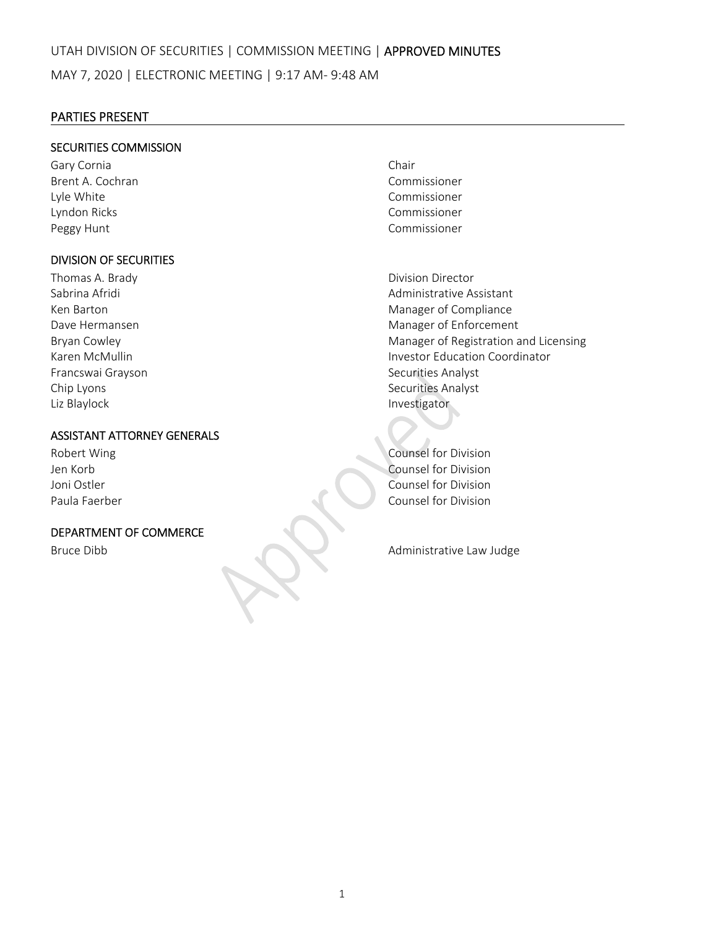## PARTIES PRESENT

## SECURITIES COMMISSION

Gary Cornia **Chair** Chair Brent A. Cochran Commissioner Lyle White Commissioner Lyndon Ricks Commissioner Peggy Hunt **Commissioner Peggy Hunt** 

## DIVISION OF SECURITIES

Thomas A. Brady **Brandy Example 2018 Division Director** Francswai Grayson Securities Analyst Chip Lyons **Securities Analyst** Securities Analyst Liz Blaylock **Contract Contract Contract Contract Contract Contract Contract Contract Contract Contract Contract Contract Contract Contract Contract Contract Contract Contract Contract Contract Contract Contract Contract C** 

# ASSISTANT ATTORNEY GENERALS

### DEPARTMENT OF COMMERCE

Sabrina Afridi Administrative Assistant Ken Barton **Manager of Compliance** Dave Hermansen **International Contract Contract Contract Contract Contract Contract Contract Contract Contract Contract Contract Contract Contract Contract Contract Contract Contract Contract Contract Contract Contract Con** Bryan Cowley **Manager of Registration and Licensing Manager of Registration and Licensing** Karen McMullin Investor Education Coordinator

Robert Wing **National Counsel for Division** Jen Korb Counsel for Division Joni Ostler *Counsel for Division* Paula Faerber Counsel for Division

Bruce Dibb **Bruce Dibb and Administrative Law Judge**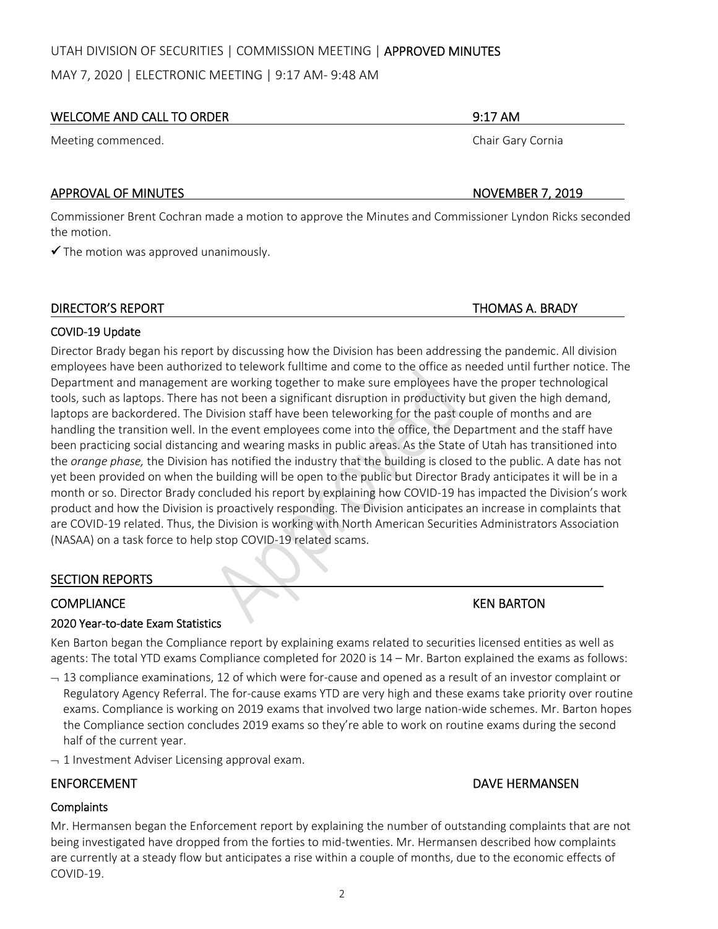## UTAH DIVISION OF SECURITIES | COMMISSION MEETING | APPROVED MINUTES

MAY 7, 2020 | ELECTRONIC MEETING | 9:17 AM‐ 9:48 AM

## WELCOME AND CALL TO ORDER **1999 THE SERVICE OF A SERVICE AND SERVICE OF A SERVICE OF A SERVICE OF A SERVICE OF A**

Meeting commenced. The state of the state of the state of the state of the Shair Gary Cornia

## APPROVAL OF MINUTES **BUT A RELATIVE STATES AND A RELATIVE STATES AND RELATIVE STATES AND RELATIVE STATES AND RELATIVE STATES AND RELATIVE STATES AND RELATIVE STATES AND RELATIVE STATES AND RELATIVE STATES AND RELATIVE STAT**

Commissioner Brent Cochran made a motion to approve the Minutes and Commissioner Lyndon Ricks seconded the motion.

 $\checkmark$  The motion was approved unanimously.

## DIRECTOR'S REPORT THOMAS A. BRADY

## COVID‐19 Update

Director Brady began his report by discussing how the Division has been addressing the pandemic. All division employees have been authorized to telework fulltime and come to the office as needed until further notice. The Department and management are working together to make sure employees have the proper technological tools, such as laptops. There has not been a significant disruption in productivity but given the high demand, laptops are backordered. The Division staff have been teleworking for the past couple of months and are handling the transition well. In the event employees come into the office, the Department and the staff have been practicing social distancing and wearing masks in public areas. As the State of Utah has transitioned into the *orange phase,* the Division has notified the industry that the building is closed to the public. A date has not yet been provided on when the building will be open to the public but Director Brady anticipates it will be in a month or so. Director Brady concluded his report by explaining how COVID-19 has impacted the Division's work product and how the Division is proactively responding. The Division anticipates an increase in complaints that are COVID‐19 related. Thus, the Division is working with North American Securities Administrators Association (NASAA) on a task force to help stop COVID‐19 related scams.

## SECTION REPORTS

## COMPLIANCE KEN BARTON

## 2020 Year‐to‐date Exam Statistics

Ken Barton began the Compliance report by explaining exams related to securities licensed entities as well as agents: The total YTD exams Compliance completed for 2020 is 14 – Mr. Barton explained the exams as follows:

- $-13$  compliance examinations, 12 of which were for-cause and opened as a result of an investor complaint or Regulatory Agency Referral. The for‐cause exams YTD are very high and these exams take priority over routine exams. Compliance is working on 2019 exams that involved two large nation-wide schemes. Mr. Barton hopes the Compliance section concludes 2019 exams so they're able to work on routine exams during the second half of the current year.
- $-1$  Investment Adviser Licensing approval exam.

# ENFORCEMENT DAVE HERMANSEN

## **Complaints**

Mr. Hermansen began the Enforcement report by explaining the number of outstanding complaints that are not being investigated have dropped from the forties to mid-twenties. Mr. Hermansen described how complaints are currently at a steady flow but anticipates a rise within a couple of months, due to the economic effects of COVID‐19.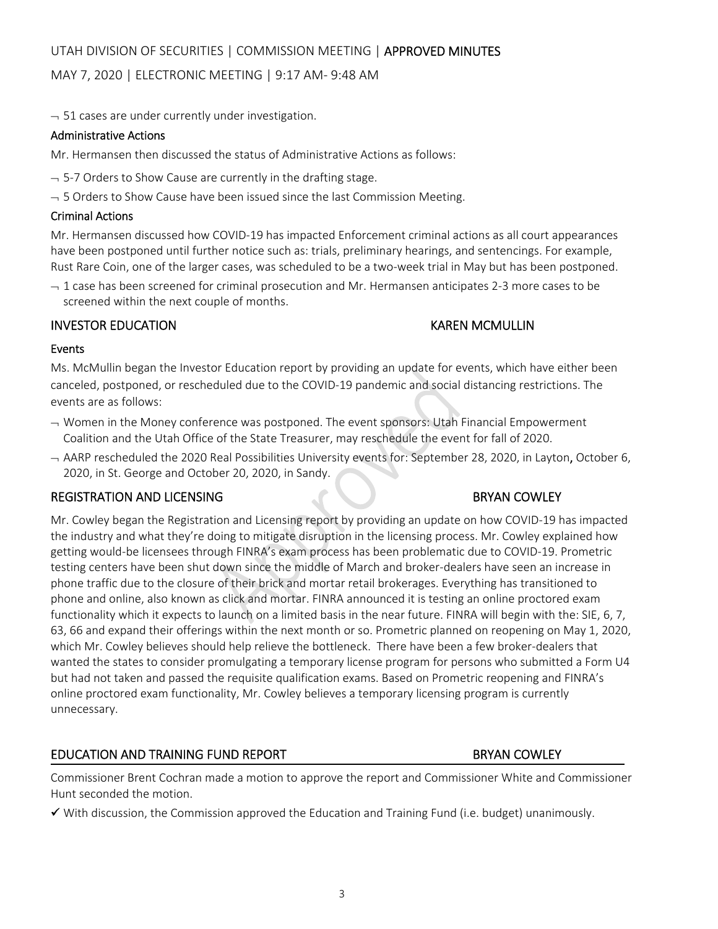# MAY 7, 2020 | ELECTRONIC MEETING | 9:17 AM‐ 9:48 AM

 $-51$  cases are under currently under investigation.

## Administrative Actions

Mr. Hermansen then discussed the status of Administrative Actions as follows:

- $-$  5-7 Orders to Show Cause are currently in the drafting stage.
- $-$  5 Orders to Show Cause have been issued since the last Commission Meeting.

# Criminal Actions

Mr. Hermansen discussed how COVID‐19 has impacted Enforcement criminal actions as all court appearances have been postponed until further notice such as: trials, preliminary hearings, and sentencings. For example, Rust Rare Coin, one of the larger cases, was scheduled to be a two-week trial in May but has been postponed.

 $-1$  case has been screened for criminal prosecution and Mr. Hermansen anticipates 2-3 more cases to be screened within the next couple of months.

# INVESTOR EDUCATION KAREN MCMULLIN

## Events

Ms. McMullin began the Investor Education report by providing an update for events, which have either been canceled, postponed, or rescheduled due to the COVID‐19 pandemic and social distancing restrictions. The events are as follows:

- $\rightarrow$  Women in the Money conference was postponed. The event sponsors: Utah Financial Empowerment Coalition and the Utah Office of the State Treasurer, may reschedule the event for fall of 2020.
- AARP rescheduled the 2020 Real Possibilities University events for: September 28, 2020, in Layton, October 6, 2020, in St. George and October 20, 2020, in Sandy.

## REGISTRATION AND LICENSING **BRYAN COWLEY**

Mr. Cowley began the Registration and Licensing report by providing an update on how COVID‐19 has impacted the industry and what they're doing to mitigate disruption in the licensing process. Mr. Cowley explained how getting would‐be licensees through FINRA's exam process has been problematic due to COVID‐19. Prometric testing centers have been shut down since the middle of March and broker-dealers have seen an increase in phone traffic due to the closure of their brick and mortar retail brokerages. Everything has transitioned to phone and online, also known as click and mortar. FINRA announced it is testing an online proctored exam functionality which it expects to launch on a limited basis in the near future. FINRA will begin with the: SIE, 6, 7, 63, 66 and expand their offerings within the next month or so. Prometric planned on reopening on May 1, 2020, which Mr. Cowley believes should help relieve the bottleneck. There have been a few broker‐dealers that wanted the states to consider promulgating a temporary license program for persons who submitted a Form U4 but had not taken and passed the requisite qualification exams. Based on Prometric reopening and FINRA's online proctored exam functionality, Mr. Cowley believes a temporary licensing program is currently unnecessary.

# EDUCATION AND TRAINING FUND REPORT **BRYAN COWLEY**

Commissioner Brent Cochran made a motion to approve the report and Commissioner White and Commissioner Hunt seconded the motion.

 $\checkmark$  With discussion, the Commission approved the Education and Training Fund (i.e. budget) unanimously.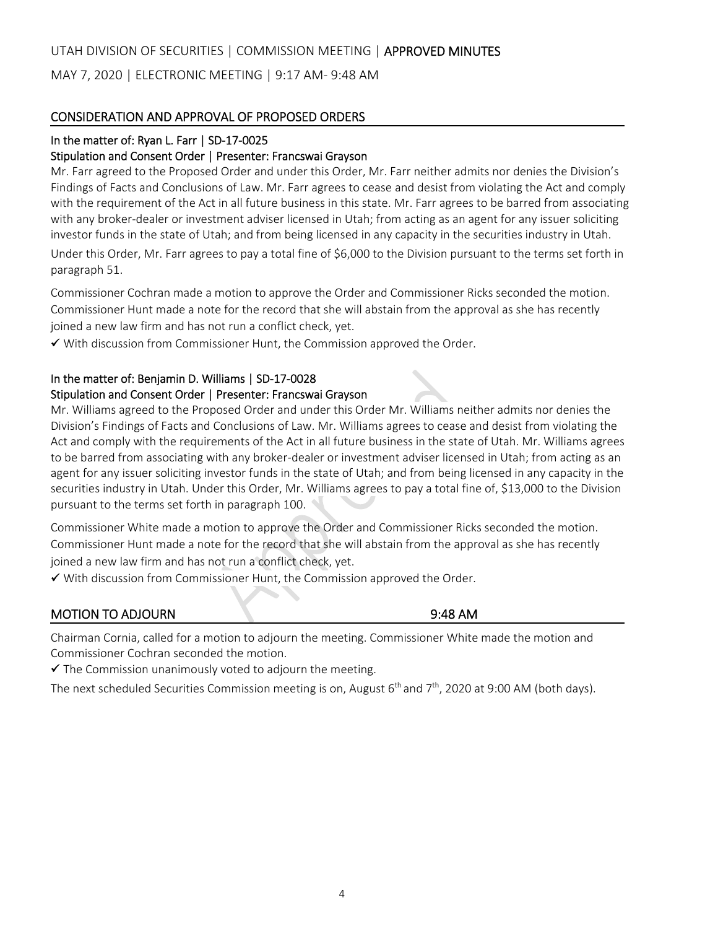## UTAH DIVISION OF SECURITIES | COMMISSION MEETING | APPROVED MINUTES

MAY 7, 2020 | ELECTRONIC MEETING | 9:17 AM‐ 9:48 AM

## CONSIDERATION AND APPROVAL OF PROPOSED ORDERS

## In the matter of: Ryan L. Farr | SD-17-0025

### Stipulation and Consent Order | Presenter: Francswai Grayson

Mr. Farr agreed to the Proposed Order and under this Order, Mr. Farr neither admits nor denies the Division's Findings of Facts and Conclusions of Law. Mr. Farr agrees to cease and desist from violating the Act and comply with the requirement of the Act in all future business in this state. Mr. Farr agrees to be barred from associating with any broker-dealer or investment adviser licensed in Utah; from acting as an agent for any issuer soliciting investor funds in the state of Utah; and from being licensed in any capacity in the securities industry in Utah. Under this Order, Mr. Farr agrees to pay a total fine of \$6,000 to the Division pursuant to the terms set forth in paragraph 51.

Commissioner Cochran made a motion to approve the Order and Commissioner Ricks seconded the motion. Commissioner Hunt made a note for the record that she will abstain from the approval as she has recently joined a new law firm and has not run a conflict check, yet.

 $\checkmark$  With discussion from Commissioner Hunt, the Commission approved the Order.

## In the matter of: Benjamin D. Williams | SD‐17‐0028

## Stipulation and Consent Order | Presenter: Francswai Grayson

Mr. Williams agreed to the Proposed Order and under this Order Mr. Williams neither admits nor denies the Division's Findings of Facts and Conclusions of Law. Mr. Williams agrees to cease and desist from violating the Act and comply with the requirements of the Act in all future business in the state of Utah. Mr. Williams agrees to be barred from associating with any broker‐dealer or investment adviser licensed in Utah; from acting as an agent for any issuer soliciting investor funds in the state of Utah; and from being licensed in any capacity in the securities industry in Utah. Under this Order, Mr. Williams agrees to pay a total fine of, \$13,000 to the Division pursuant to the terms set forth in paragraph 100.

Commissioner White made a motion to approve the Order and Commissioner Ricks seconded the motion. Commissioner Hunt made a note for the record that she will abstain from the approval as she has recently joined a new law firm and has not run a conflict check, yet.

 $\checkmark$  With discussion from Commissioner Hunt, the Commission approved the Order.

## MOTION TO ADJOURN **BEEN SERVED ASSESSED A** SERVED AS A SERVED AS A SERVED AS A SERVED AS A SERVED AS A SERVED AS

Chairman Cornia, called for a motion to adjourn the meeting. Commissioner White made the motion and Commissioner Cochran seconded the motion.

 $\checkmark$  The Commission unanimously voted to adjourn the meeting.

The next scheduled Securities Commission meeting is on, August 6<sup>th</sup> and 7<sup>th</sup>, 2020 at 9:00 AM (both days).